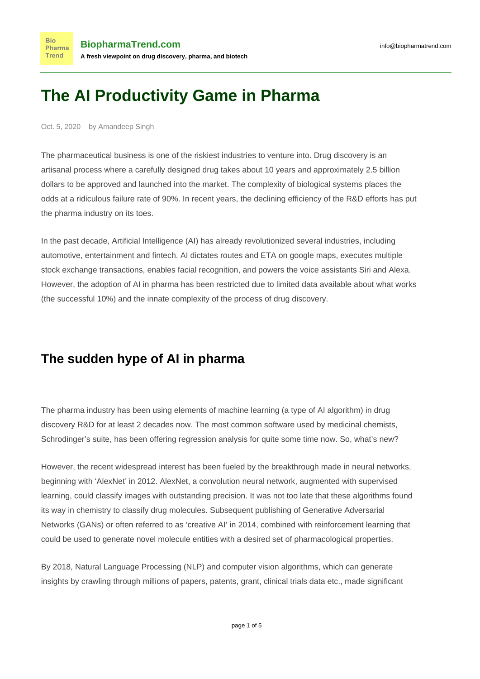# **The AI Productivity Game in Pharma**

Oct. 5, 2020 by Amandeep Singh

**Bio** 

The pharmaceutical business is one of the riskiest industries to venture into. Drug discovery is an artisanal process where a carefully designed drug takes about 10 years and approximately 2.5 billion dollars to be approved and launched into the market. The complexity of biological systems places the odds at a ridiculous failure rate of 90%. In recent years, the declining efficiency of the R&D efforts has put the pharma industry on its toes.

In the past decade, Artificial Intelligence (AI) has already revolutionized several industries, including automotive, entertainment and fintech. AI dictates routes and ETA on google maps, executes multiple stock exchange transactions, enables facial recognition, and powers the voice assistants Siri and Alexa. However, the adoption of AI in pharma has been restricted due to limited data available about what works (the successful 10%) and the innate complexity of the process of drug discovery.

### **The sudden hype of AI in pharma**

The pharma industry has been using elements of machine learning (a type of AI algorithm) in drug discovery R&D for at least 2 decades now. The most common software used by medicinal chemists, Schrodinger's suite, has been offering regression analysis for quite some time now. So, what's new?

However, the recent widespread interest has been fueled by the breakthrough made in neural networks, beginning with 'AlexNet' in 2012. AlexNet, a convolution neural network, augmented with supervised learning, could classify images with outstanding precision. It was not too late that these algorithms found its way in chemistry to classify drug molecules. Subsequent publishing of Generative Adversarial Networks (GANs) or often referred to as 'creative AI' in 2014, combined with reinforcement learning that could be used to generate novel molecule entities with a desired set of pharmacological properties.

By 2018, Natural Language Processing (NLP) and computer vision algorithms, which can generate insights by crawling through millions of papers, patents, grant, clinical trials data etc., made significant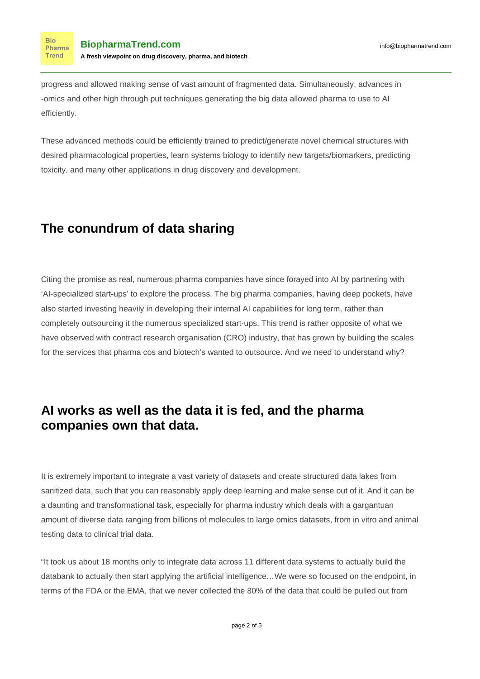progress and allowed making sense of vast amount of fragmented data. Simultaneously, advances in -omics and other high through put techniques generating the big data allowed pharma to use to AI efficiently.

These advanced methods could be efficiently trained to predict/generate novel chemical structures with desired pharmacological properties, learn systems biology to identify new targets/biomarkers, predicting toxicity, and many other applications in drug discovery and development.

### **The conundrum of data sharing**

Citing the promise as real, numerous pharma companies have since forayed into AI by partnering with 'AI-specialized start-ups' to explore the process. The big pharma companies, having deep pockets, have also started investing heavily in developing their internal AI capabilities for long term, rather than completely outsourcing it the numerous specialized start-ups. This trend is rather opposite of what we have observed with contract research organisation (CRO) industry, that has grown by building the scales for the services that pharma cos and biotech's wanted to outsource. And we need to understand why?

#### **AI works as well as the data it is fed, and the pharma companies own that data.**

It is extremely important to integrate a vast variety of datasets and create structured data lakes from sanitized data, such that you can reasonably apply deep learning and make sense out of it. And it can be a daunting and transformational task, especially for pharma industry which deals with a gargantuan amount of diverse data ranging from billions of molecules to large omics datasets, from in vitro and animal testing data to clinical trial data.

"It took us about 18 months only to integrate data across 11 different data systems to actually build the databank to actually then start applying the artificial intelligence…We were so focused on the endpoint, in terms of the FDA or the EMA, that we never collected the 80% of the data that could be pulled out from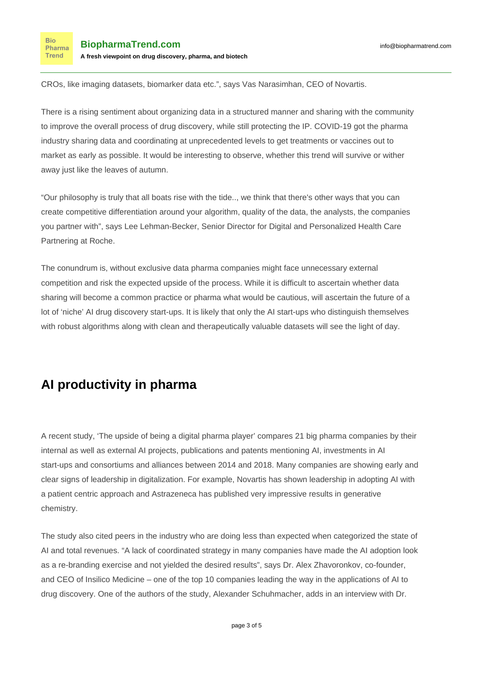CROs, like imaging datasets, biomarker data etc.", says Vas Narasimhan, CEO of Novartis.

There is a rising sentiment about organizing data in a structured manner and sharing with the community to improve the overall process of drug discovery, while still protecting the IP. COVID-19 got the pharma industry sharing data and coordinating at unprecedented levels to get treatments or vaccines out to market as early as possible. It would be interesting to observe, whether this trend will survive or wither away just like the leaves of autumn.

"Our philosophy is truly that all boats rise with the tide.., we think that there's other ways that you can create competitive differentiation around your algorithm, quality of the data, the analysts, the companies you partner with", says Lee Lehman-Becker, Senior Director for Digital and Personalized Health Care Partnering at Roche.

The conundrum is, without exclusive data pharma companies might face unnecessary external competition and risk the expected upside of the process. While it is difficult to ascertain whether data sharing will become a common practice or pharma what would be cautious, will ascertain the future of a lot of 'niche' AI drug discovery start-ups. It is likely that only the AI start-ups who distinguish themselves with robust algorithms along with clean and therapeutically valuable datasets will see the light of day.

## **AI productivity in pharma**

A recent study, 'The upside of being a digital pharma player' compares 21 big pharma companies by their internal as well as external AI projects, publications and patents mentioning AI, investments in AI start-ups and consortiums and alliances between 2014 and 2018. Many companies are showing early and clear signs of leadership in digitalization. For example, Novartis has shown leadership in adopting AI with a patient centric approach and Astrazeneca has published very impressive results in generative chemistry.

The study also cited peers in the industry who are doing less than expected when categorized the state of AI and total revenues. "A lack of coordinated strategy in many companies have made the AI adoption look as a re-branding exercise and not yielded the desired results", says Dr. Alex Zhavoronkov, co-founder, and CEO of Insilico Medicine – one of the top 10 companies leading the way in the applications of AI to drug discovery. One of the authors of the study, Alexander Schuhmacher, adds in an interview with Dr.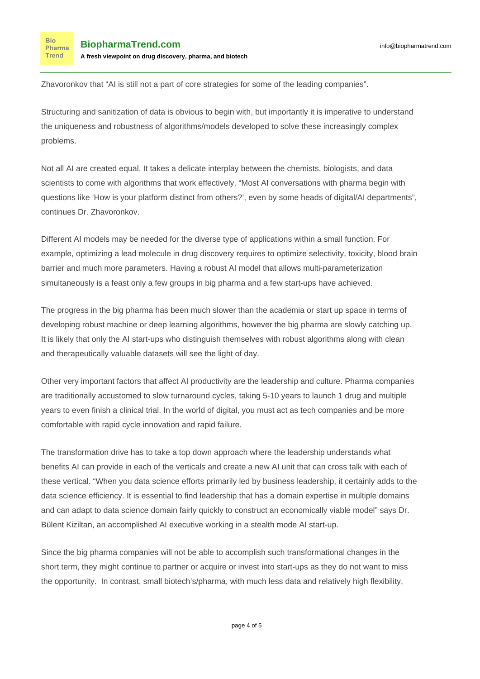**Bio** Pharma Trend

Zhavoronkov that "AI is still not a part of core strategies for some of the leading companies".

Structuring and sanitization of data is obvious to begin with, but importantly it is imperative to understand the uniqueness and robustness of algorithms/models developed to solve these increasingly complex problems.

Not all AI are created equal. It takes a delicate interplay between the chemists, biologists, and data scientists to come with algorithms that work effectively. "Most AI conversations with pharma begin with questions like 'How is your platform distinct from others?', even by some heads of digital/AI departments", continues Dr. Zhavoronkov.

Different AI models may be needed for the diverse type of applications within a small function. For example, optimizing a lead molecule in drug discovery requires to optimize selectivity, toxicity, blood brain barrier and much more parameters. Having a robust AI model that allows multi-parameterization simultaneously is a feast only a few groups in big pharma and a few start-ups have achieved.

The progress in the big pharma has been much slower than the academia or start up space in terms of developing robust machine or deep learning algorithms, however the big pharma are slowly catching up. It is likely that only the AI start-ups who distinguish themselves with robust algorithms along with clean and therapeutically valuable datasets will see the light of day.

Other very important factors that affect AI productivity are the leadership and culture. Pharma companies are traditionally accustomed to slow turnaround cycles, taking 5-10 years to launch 1 drug and multiple years to even finish a clinical trial. In the world of digital, you must act as tech companies and be more comfortable with rapid cycle innovation and rapid failure.

The transformation drive has to take a top down approach where the leadership understands what benefits AI can provide in each of the verticals and create a new AI unit that can cross talk with each of these vertical. "When you data science efforts primarily led by business leadership, it certainly adds to the data science efficiency. It is essential to find leadership that has a domain expertise in multiple domains and can adapt to data science domain fairly quickly to construct an economically viable model" says Dr. Bülent Kiziltan, an accomplished AI executive working in a stealth mode AI start-up.

Since the big pharma companies will not be able to accomplish such transformational changes in the short term, they might continue to partner or acquire or invest into start-ups as they do not want to miss the opportunity. In contrast, small biotech's/pharma, with much less data and relatively high flexibility,